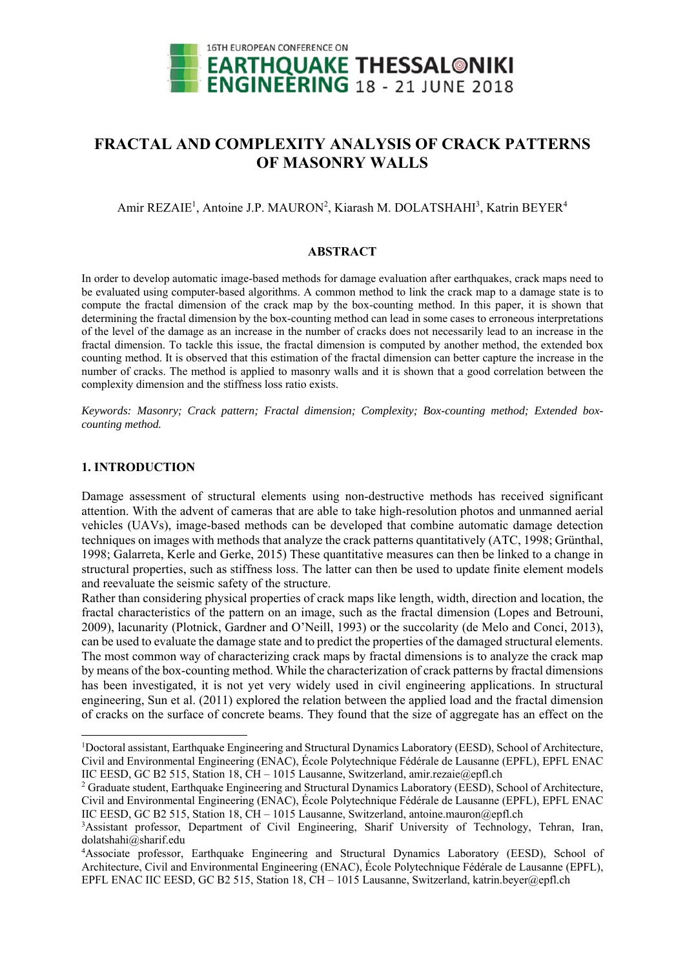

# **FRACTAL AND COMPLEXITY ANALYSIS OF CRACK PATTERNS OF MASONRY WALLS**

## Amir REZAIE<sup>1</sup>, Antoine J.P. MAURON<sup>2</sup>, Kiarash M. DOLATSHAHI<sup>3</sup>, Katrin BEYER<sup>4</sup>

#### **ABSTRACT**

In order to develop automatic image-based methods for damage evaluation after earthquakes, crack maps need to be evaluated using computer-based algorithms. A common method to link the crack map to a damage state is to compute the fractal dimension of the crack map by the box-counting method. In this paper, it is shown that determining the fractal dimension by the box-counting method can lead in some cases to erroneous interpretations of the level of the damage as an increase in the number of cracks does not necessarily lead to an increase in the fractal dimension. To tackle this issue, the fractal dimension is computed by another method, the extended box counting method. It is observed that this estimation of the fractal dimension can better capture the increase in the number of cracks. The method is applied to masonry walls and it is shown that a good correlation between the complexity dimension and the stiffness loss ratio exists.

*Keywords: Masonry; Crack pattern; Fractal dimension; Complexity; Box-counting method; Extended boxcounting method.* 

### **1. INTRODUCTION**

1

Damage assessment of structural elements using non-destructive methods has received significant attention. With the advent of cameras that are able to take high-resolution photos and unmanned aerial vehicles (UAVs), image-based methods can be developed that combine automatic damage detection techniques on images with methods that analyze the crack patterns quantitatively (ATC, 1998; Grünthal, 1998; Galarreta, Kerle and Gerke, 2015) These quantitative measures can then be linked to a change in structural properties, such as stiffness loss. The latter can then be used to update finite element models and reevaluate the seismic safety of the structure.

Rather than considering physical properties of crack maps like length, width, direction and location, the fractal characteristics of the pattern on an image, such as the fractal dimension (Lopes and Betrouni, 2009), lacunarity (Plotnick, Gardner and O'Neill, 1993) or the succolarity (de Melo and Conci, 2013), can be used to evaluate the damage state and to predict the properties of the damaged structural elements. The most common way of characterizing crack maps by fractal dimensions is to analyze the crack map by means of the box-counting method. While the characterization of crack patterns by fractal dimensions has been investigated, it is not yet very widely used in civil engineering applications. In structural engineering, Sun et al. (2011) explored the relation between the applied load and the fractal dimension of cracks on the surface of concrete beams. They found that the size of aggregate has an effect on the

<sup>1</sup> Doctoral assistant, Earthquake Engineering and Structural Dynamics Laboratory (EESD), School of Architecture, Civil and Environmental Engineering (ENAC), École Polytechnique Fédérale de Lausanne (EPFL), EPFL ENAC IIC EESD, GC B2 515, Station 18, CH – 1015 Lausanne, Switzerland, amir.rezaie@epfl.ch 2

<sup>&</sup>lt;sup>2</sup> Graduate student, Earthquake Engineering and Structural Dynamics Laboratory (EESD), School of Architecture, Civil and Environmental Engineering (ENAC), École Polytechnique Fédérale de Lausanne (EPFL), EPFL ENAC IIC EESD, GC B2 515, Station 18, CH – 1015 Lausanne, Switzerland, antoine.mauron@epfl.ch

<sup>&</sup>lt;sup>3</sup>Assistant professor, Department of Civil Engineering, Sharif University of Technology, Tehran, Iran, dolatshahi@sharif.edu

<sup>4</sup> Associate professor, Earthquake Engineering and Structural Dynamics Laboratory (EESD), School of Architecture, Civil and Environmental Engineering (ENAC), École Polytechnique Fédérale de Lausanne (EPFL), EPFL ENAC IIC EESD, GC B2 515, Station 18, CH – 1015 Lausanne, Switzerland, katrin.beyer@epfl.ch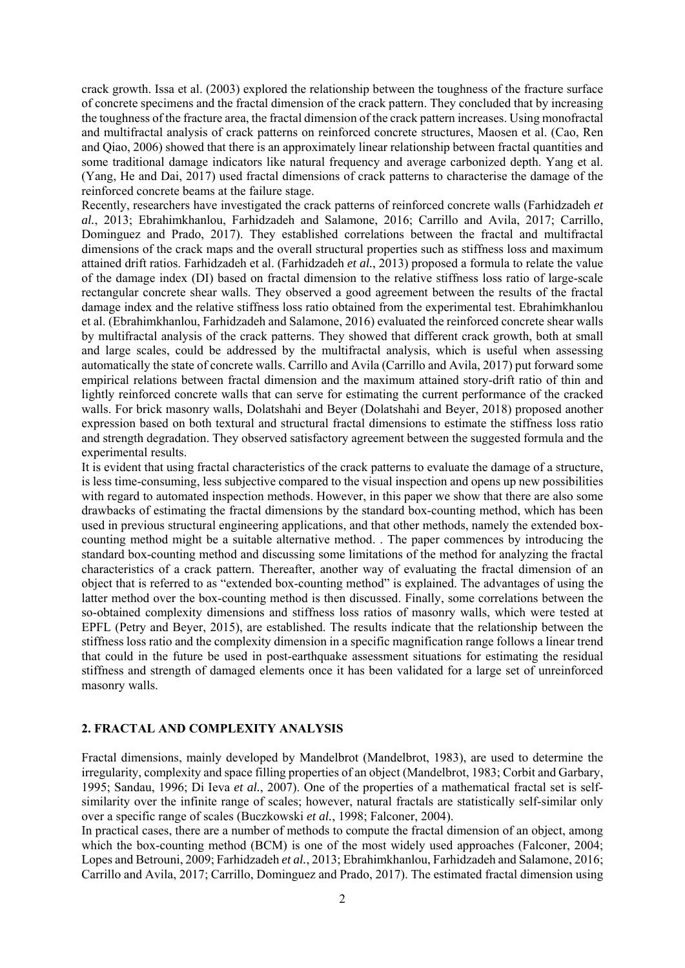crack growth. Issa et al. (2003) explored the relationship between the toughness of the fracture surface of concrete specimens and the fractal dimension of the crack pattern. They concluded that by increasing the toughness of the fracture area, the fractal dimension of the crack pattern increases. Using monofractal and multifractal analysis of crack patterns on reinforced concrete structures, Maosen et al. (Cao, Ren and Qiao, 2006) showed that there is an approximately linear relationship between fractal quantities and some traditional damage indicators like natural frequency and average carbonized depth. Yang et al. (Yang, He and Dai, 2017) used fractal dimensions of crack patterns to characterise the damage of the reinforced concrete beams at the failure stage.

Recently, researchers have investigated the crack patterns of reinforced concrete walls (Farhidzadeh *et al.*, 2013; Ebrahimkhanlou, Farhidzadeh and Salamone, 2016; Carrillo and Avila, 2017; Carrillo, Dominguez and Prado, 2017). They established correlations between the fractal and multifractal dimensions of the crack maps and the overall structural properties such as stiffness loss and maximum attained drift ratios. Farhidzadeh et al. (Farhidzadeh *et al.*, 2013) proposed a formula to relate the value of the damage index (DI) based on fractal dimension to the relative stiffness loss ratio of large-scale rectangular concrete shear walls. They observed a good agreement between the results of the fractal damage index and the relative stiffness loss ratio obtained from the experimental test. Ebrahimkhanlou et al. (Ebrahimkhanlou, Farhidzadeh and Salamone, 2016) evaluated the reinforced concrete shear walls by multifractal analysis of the crack patterns. They showed that different crack growth, both at small and large scales, could be addressed by the multifractal analysis, which is useful when assessing automatically the state of concrete walls. Carrillo and Avila (Carrillo and Avila, 2017) put forward some empirical relations between fractal dimension and the maximum attained story-drift ratio of thin and lightly reinforced concrete walls that can serve for estimating the current performance of the cracked walls. For brick masonry walls, Dolatshahi and Beyer (Dolatshahi and Beyer, 2018) proposed another expression based on both textural and structural fractal dimensions to estimate the stiffness loss ratio and strength degradation. They observed satisfactory agreement between the suggested formula and the experimental results.

It is evident that using fractal characteristics of the crack patterns to evaluate the damage of a structure, is less time-consuming, less subjective compared to the visual inspection and opens up new possibilities with regard to automated inspection methods. However, in this paper we show that there are also some drawbacks of estimating the fractal dimensions by the standard box-counting method, which has been used in previous structural engineering applications, and that other methods, namely the extended boxcounting method might be a suitable alternative method. . The paper commences by introducing the standard box-counting method and discussing some limitations of the method for analyzing the fractal characteristics of a crack pattern. Thereafter, another way of evaluating the fractal dimension of an object that is referred to as "extended box-counting method" is explained. The advantages of using the latter method over the box-counting method is then discussed. Finally, some correlations between the so-obtained complexity dimensions and stiffness loss ratios of masonry walls, which were tested at EPFL (Petry and Beyer, 2015), are established. The results indicate that the relationship between the stiffness loss ratio and the complexity dimension in a specific magnification range follows a linear trend that could in the future be used in post-earthquake assessment situations for estimating the residual stiffness and strength of damaged elements once it has been validated for a large set of unreinforced masonry walls.

#### **2. FRACTAL AND COMPLEXITY ANALYSIS**

Fractal dimensions, mainly developed by Mandelbrot (Mandelbrot, 1983), are used to determine the irregularity, complexity and space filling properties of an object (Mandelbrot, 1983; Corbit and Garbary, 1995; Sandau, 1996; Di Ieva *et al.*, 2007). One of the properties of a mathematical fractal set is selfsimilarity over the infinite range of scales; however, natural fractals are statistically self-similar only over a specific range of scales (Buczkowski *et al.*, 1998; Falconer, 2004).

In practical cases, there are a number of methods to compute the fractal dimension of an object, among which the box-counting method (BCM) is one of the most widely used approaches (Falconer, 2004; Lopes and Betrouni, 2009; Farhidzadeh *et al.*, 2013; Ebrahimkhanlou, Farhidzadeh and Salamone, 2016; Carrillo and Avila, 2017; Carrillo, Dominguez and Prado, 2017). The estimated fractal dimension using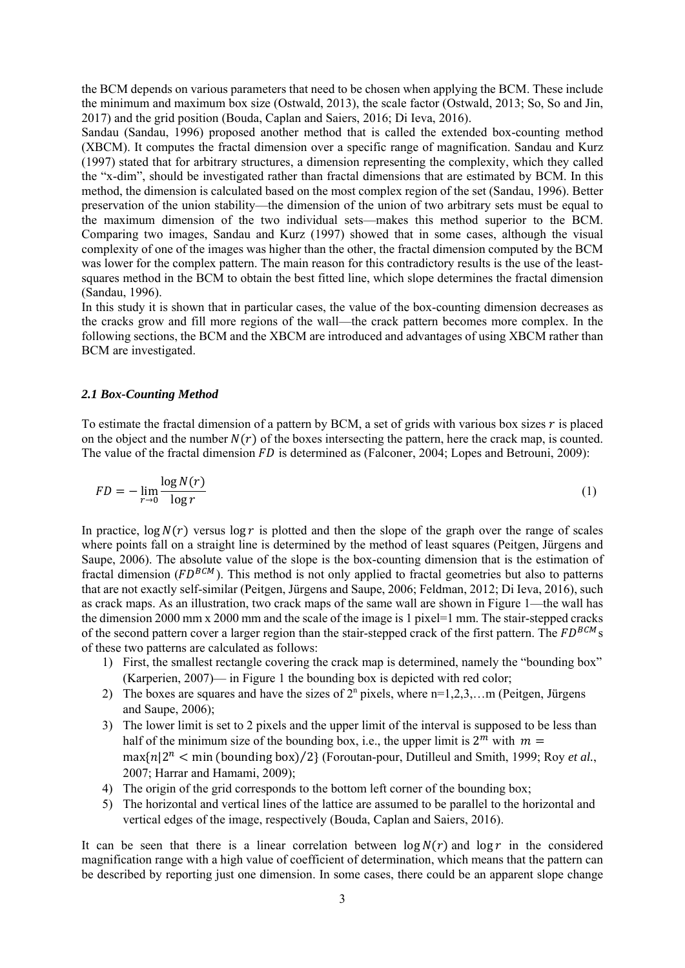the BCM depends on various parameters that need to be chosen when applying the BCM. These include the minimum and maximum box size (Ostwald, 2013), the scale factor (Ostwald, 2013; So, So and Jin, 2017) and the grid position (Bouda, Caplan and Saiers, 2016; Di Ieva, 2016).

Sandau (Sandau, 1996) proposed another method that is called the extended box-counting method (XBCM). It computes the fractal dimension over a specific range of magnification. Sandau and Kurz (1997) stated that for arbitrary structures, a dimension representing the complexity, which they called the "x-dim", should be investigated rather than fractal dimensions that are estimated by BCM. In this method, the dimension is calculated based on the most complex region of the set (Sandau, 1996). Better preservation of the union stability—the dimension of the union of two arbitrary sets must be equal to the maximum dimension of the two individual sets—makes this method superior to the BCM. Comparing two images, Sandau and Kurz (1997) showed that in some cases, although the visual complexity of one of the images was higher than the other, the fractal dimension computed by the BCM was lower for the complex pattern. The main reason for this contradictory results is the use of the leastsquares method in the BCM to obtain the best fitted line, which slope determines the fractal dimension (Sandau, 1996).

In this study it is shown that in particular cases, the value of the box-counting dimension decreases as the cracks grow and fill more regions of the wall—the crack pattern becomes more complex. In the following sections, the BCM and the XBCM are introduced and advantages of using XBCM rather than BCM are investigated.

### *2.1 Box-Counting Method*

To estimate the fractal dimension of a pattern by BCM, a set of grids with various box sizes  $r$  is placed on the object and the number  $N(r)$  of the boxes intersecting the pattern, here the crack map, is counted. The value of the fractal dimension  $FD$  is determined as (Falconer, 2004; Lopes and Betrouni, 2009):

$$
FD = -\lim_{r \to 0} \frac{\log N(r)}{\log r} \tag{1}
$$

In practice,  $\log N(r)$  versus  $\log r$  is plotted and then the slope of the graph over the range of scales where points fall on a straight line is determined by the method of least squares (Peitgen, Jürgens and Saupe, 2006). The absolute value of the slope is the box-counting dimension that is the estimation of fractal dimension ( $FD^{BCM}$ ). This method is not only applied to fractal geometries but also to patterns that are not exactly self-similar (Peitgen, Jürgens and Saupe, 2006; Feldman, 2012; Di Ieva, 2016), such as crack maps. As an illustration, two crack maps of the same wall are shown in Figure 1—the wall has the dimension 2000 mm x 2000 mm and the scale of the image is 1 pixel=1 mm. The stair-stepped cracks of the second pattern cover a larger region than the stair-stepped crack of the first pattern. The  $FD^{BCM}$ s of these two patterns are calculated as follows:

- 1) First, the smallest rectangle covering the crack map is determined, namely the "bounding box" (Karperien, 2007)— in Figure 1 the bounding box is depicted with red color;
- 2) The boxes are squares and have the sizes of  $2<sup>n</sup>$  pixels, where  $n=1,2,3,...$  m (Peitgen, Jürgens and Saupe, 2006);
- 3) The lower limit is set to 2 pixels and the upper limit of the interval is supposed to be less than half of the minimum size of the bounding box, i.e., the upper limit is  $2^m$  with  $m =$  $\max\{n/2^n \le \min(\text{bounding box})/2\}$  (Foroutan-pour, Dutilleul and Smith, 1999; Roy *et al.*, 2007; Harrar and Hamami, 2009);
- 4) The origin of the grid corresponds to the bottom left corner of the bounding box;
- 5) The horizontal and vertical lines of the lattice are assumed to be parallel to the horizontal and vertical edges of the image, respectively (Bouda, Caplan and Saiers, 2016).

It can be seen that there is a linear correlation between  $\log N(r)$  and  $\log r$  in the considered magnification range with a high value of coefficient of determination, which means that the pattern can be described by reporting just one dimension. In some cases, there could be an apparent slope change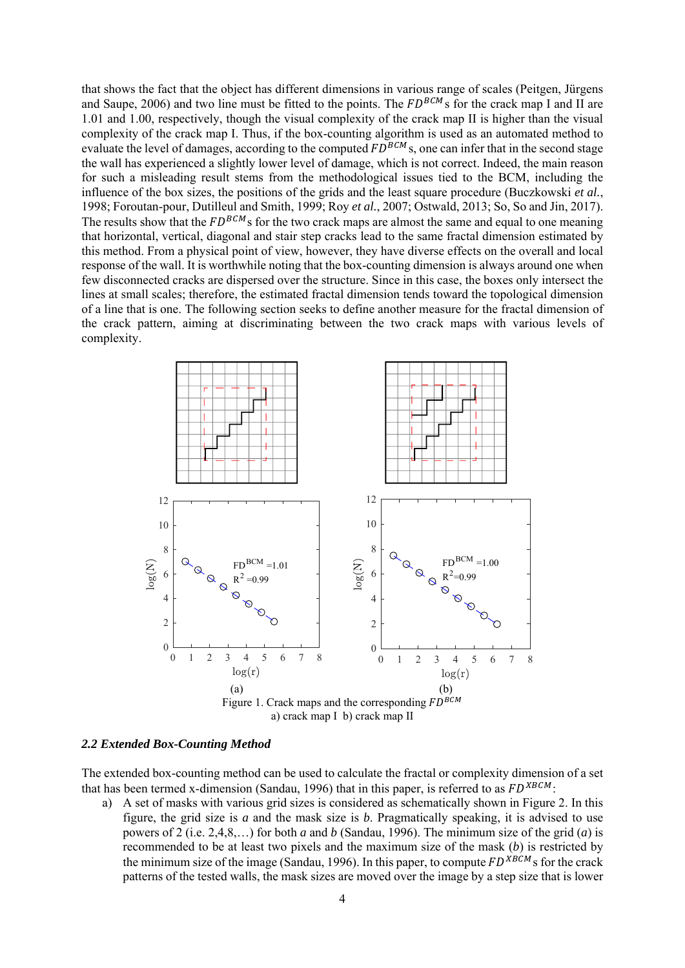that shows the fact that the object has different dimensions in various range of scales (Peitgen, Jürgens and Saupe, 2006) and two line must be fitted to the points. The  $FD^{BCM}$ s for the crack map I and II are 1.01 and 1.00, respectively, though the visual complexity of the crack map II is higher than the visual complexity of the crack map I. Thus, if the box-counting algorithm is used as an automated method to evaluate the level of damages, according to the computed  $FD^{BCM}$ s, one can infer that in the second stage the wall has experienced a slightly lower level of damage, which is not correct. Indeed, the main reason for such a misleading result stems from the methodological issues tied to the BCM, including the influence of the box sizes, the positions of the grids and the least square procedure (Buczkowski *et al.*, 1998; Foroutan-pour, Dutilleul and Smith, 1999; Roy *et al.*, 2007; Ostwald, 2013; So, So and Jin, 2017). The results show that the  $FD^{BCM}$ s for the two crack maps are almost the same and equal to one meaning that horizontal, vertical, diagonal and stair step cracks lead to the same fractal dimension estimated by this method. From a physical point of view, however, they have diverse effects on the overall and local response of the wall. It is worthwhile noting that the box-counting dimension is always around one when few disconnected cracks are dispersed over the structure. Since in this case, the boxes only intersect the lines at small scales; therefore, the estimated fractal dimension tends toward the topological dimension of a line that is one. The following section seeks to define another measure for the fractal dimension of the crack pattern, aiming at discriminating between the two crack maps with various levels of complexity.



#### *2.2 Extended Box-Counting Method*

The extended box-counting method can be used to calculate the fractal or complexity dimension of a set that has been termed x-dimension (Sandau, 1996) that in this paper, is referred to as  $FD^{XBCM}$ .

a) A set of masks with various grid sizes is considered as schematically shown in Figure 2. In this figure, the grid size is *a* and the mask size is *b*. Pragmatically speaking, it is advised to use powers of 2 (i.e. 2,4,8,…) for both *a* and *b* (Sandau, 1996). The minimum size of the grid (*a*) is recommended to be at least two pixels and the maximum size of the mask (*b*) is restricted by the minimum size of the image (Sandau, 1996). In this paper, to compute  $FD^{\chi BCM}$ s for the crack patterns of the tested walls, the mask sizes are moved over the image by a step size that is lower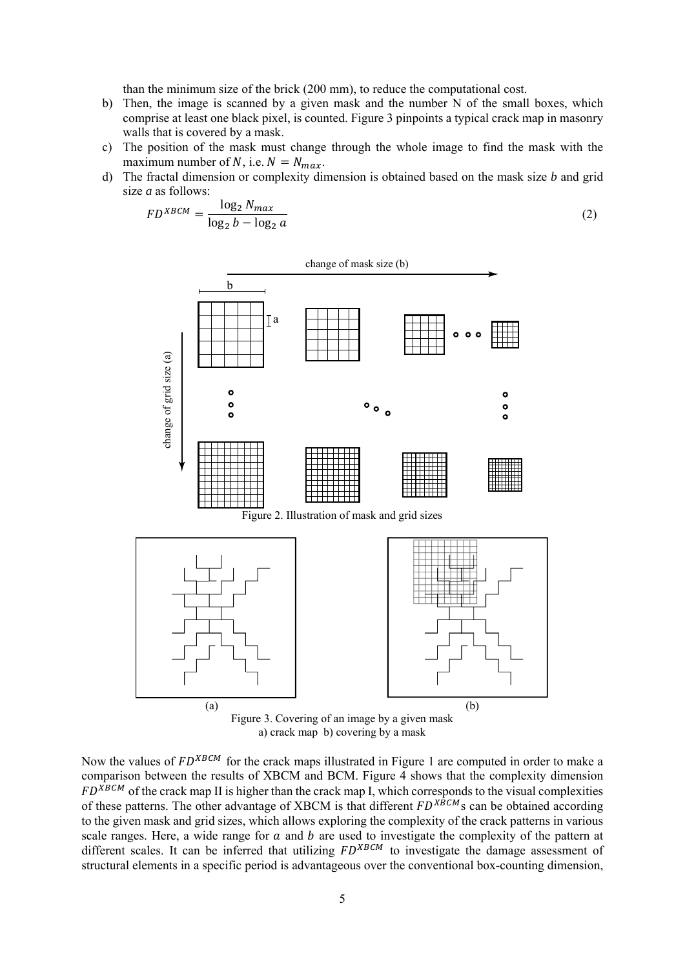than the minimum size of the brick (200 mm), to reduce the computational cost.

- b) Then, the image is scanned by a given mask and the number N of the small boxes, which comprise at least one black pixel, is counted. Figure 3 pinpoints a typical crack map in masonry walls that is covered by a mask.
- c) The position of the mask must change through the whole image to find the mask with the maximum number of N, i.e.  $N = N_{max}$ .
- d) The fractal dimension or complexity dimension is obtained based on the mask size *b* and grid size *a* as follows:

$$
FD^{XBCM} = \frac{\log_2 N_{max}}{\log_2 b - \log_2 a} \tag{2}
$$



a) crack map b) covering by a mask

Now the values of  $FD^{XBCM}$  for the crack maps illustrated in Figure 1 are computed in order to make a comparison between the results of XBCM and BCM. Figure 4 shows that the complexity dimension  $FD^{\overline{X}BCM}$  of the crack map II is higher than the crack map I, which corresponds to the visual complexities of these patterns. The other advantage of XBCM is that different  $FD^{X\hat{B}CM}$ s can be obtained according to the given mask and grid sizes, which allows exploring the complexity of the crack patterns in various scale ranges. Here, a wide range for  $a$  and  $b$  are used to investigate the complexity of the pattern at different scales. It can be inferred that utilizing  $FD^{XBCM}$  to investigate the damage assessment of structural elements in a specific period is advantageous over the conventional box-counting dimension,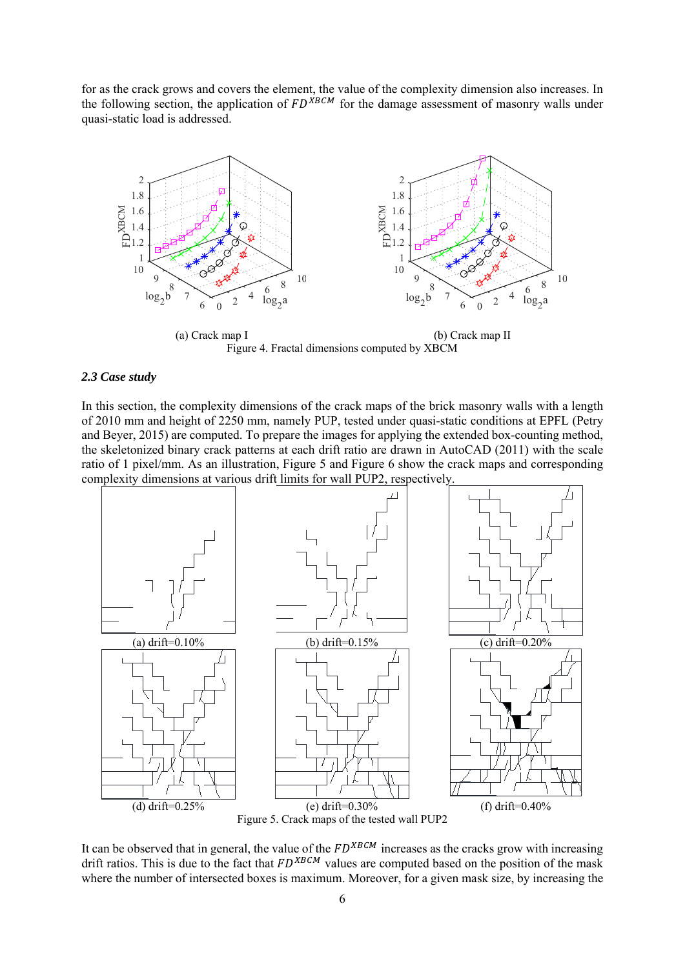for as the crack grows and covers the element, the value of the complexity dimension also increases. In the following section, the application of  $FD^{\overline{X}BCM}$  for the damage assessment of masonry walls under quasi-static load is addressed.



Figure 4. Fractal dimensions computed by XBCM

#### *2.3 Case study*

In this section, the complexity dimensions of the crack maps of the brick masonry walls with a length of 2010 mm and height of 2250 mm, namely PUP, tested under quasi-static conditions at EPFL (Petry and Beyer, 2015) are computed. To prepare the images for applying the extended box-counting method, the skeletonized binary crack patterns at each drift ratio are drawn in AutoCAD (2011) with the scale ratio of 1 pixel/mm. As an illustration, Figure 5 and Figure 6 show the crack maps and corresponding complexity dimensions at various drift limits for wall PUP2, respectively.



It can be observed that in general, the value of the  $FD^{XBCM}$  increases as the cracks grow with increasing drift ratios. This is due to the fact that  $FD^{XBCM}$  values are computed based on the position of the mask where the number of intersected boxes is maximum. Moreover, for a given mask size, by increasing the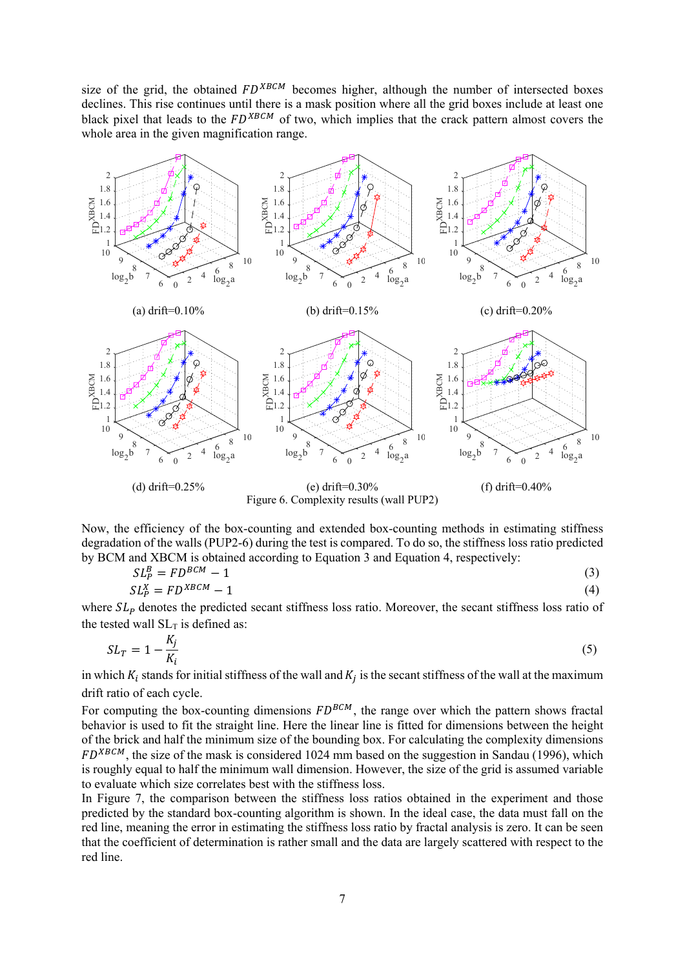size of the grid, the obtained  $FD^{XBCM}$  becomes higher, although the number of intersected boxes declines. This rise continues until there is a mask position where all the grid boxes include at least one black pixel that leads to the  $FD^{XBCM}$  of two, which implies that the crack pattern almost covers the whole area in the given magnification range.



Now, the efficiency of the box-counting and extended box-counting methods in estimating stiffness degradation of the walls (PUP2-6) during the test is compared. To do so, the stiffness loss ratio predicted by BCM and XBCM is obtained according to Equation 3 and Equation 4, respectively:

$$
SL_p^B = FD^{BCM} - 1
$$
  
\n
$$
SL_p^X = FD^{XBCM} - 1
$$
\n(3)

where  $SL_p$  denotes the predicted secant stiffness loss ratio. Moreover, the secant stiffness loss ratio of the tested wall  $SL<sub>T</sub>$  is defined as:

$$
SL_T = 1 - \frac{K_j}{K_i} \tag{5}
$$

in which  $K_i$  stands for initial stiffness of the wall and  $K_i$  is the secant stiffness of the wall at the maximum drift ratio of each cycle.

For computing the box-counting dimensions  $FD^{BCM}$ , the range over which the pattern shows fractal behavior is used to fit the straight line. Here the linear line is fitted for dimensions between the height of the brick and half the minimum size of the bounding box. For calculating the complexity dimensions  $FD^{XBCM}$ , the size of the mask is considered 1024 mm based on the suggestion in Sandau (1996), which is roughly equal to half the minimum wall dimension. However, the size of the grid is assumed variable to evaluate which size correlates best with the stiffness loss.

In Figure 7, the comparison between the stiffness loss ratios obtained in the experiment and those predicted by the standard box-counting algorithm is shown. In the ideal case, the data must fall on the red line, meaning the error in estimating the stiffness loss ratio by fractal analysis is zero. It can be seen that the coefficient of determination is rather small and the data are largely scattered with respect to the red line.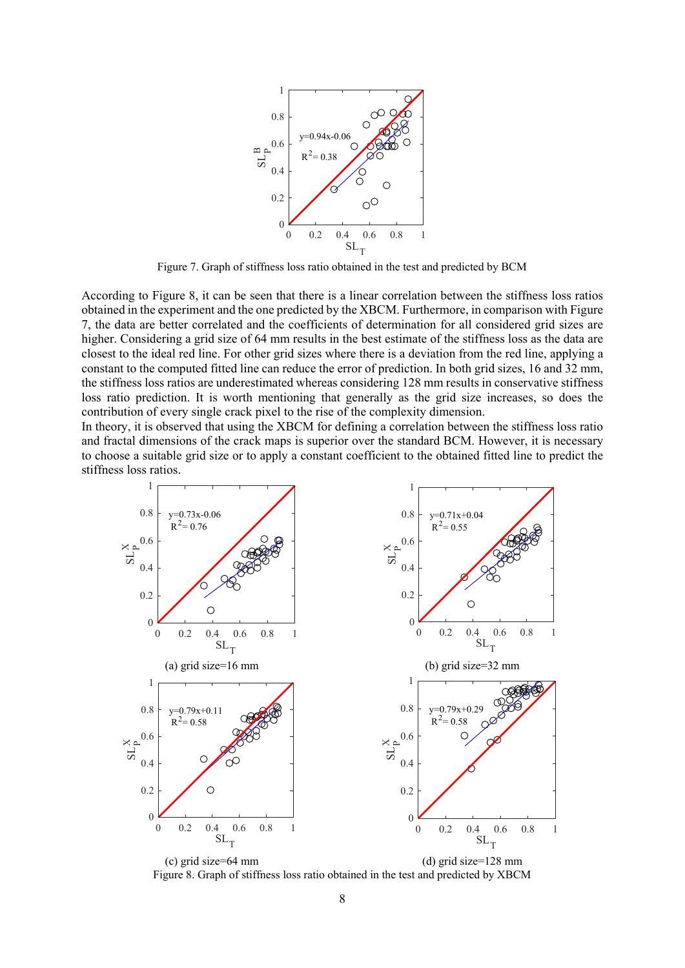

Figure 7. Graph of stiffness loss ratio obtained in the test and predicted by BCM

According to Figure 8, it can be seen that there is a linear correlation between the stiffness loss ratios obtained in the experiment and the one predicted by the XBCM. Furthermore, in comparison with Figure 7, the data are better correlated and the coefficients of determination for all considered grid sizes are higher. Considering a grid size of 64 mm results in the best estimate of the stiffness loss as the data are closest to the ideal red line. For other grid sizes where there is a deviation from the red line, applying a constant to the computed fitted line can reduce the error of prediction. In both grid sizes, 16 and 32 mm, the stiffness loss ratios are underestimated whereas considering 128 mm results in conservative stiffness loss ratio prediction. It is worth mentioning that generally as the grid size increases, so does the contribution of every single crack pixel to the rise of the complexity dimension.

In theory, it is observed that using the XBCM for defining a correlation between the stiffness loss ratio and fractal dimensions of the crack maps is superior over the standard BCM. However, it is necessary to choose a suitable grid size or to apply a constant coefficient to the obtained fitted line to predict the stiffness loss ratios.



(c) grid size=64 mm (d) grid size=128 mm Figure 8. Graph of stiffness loss ratio obtained in the test and predicted by XBCM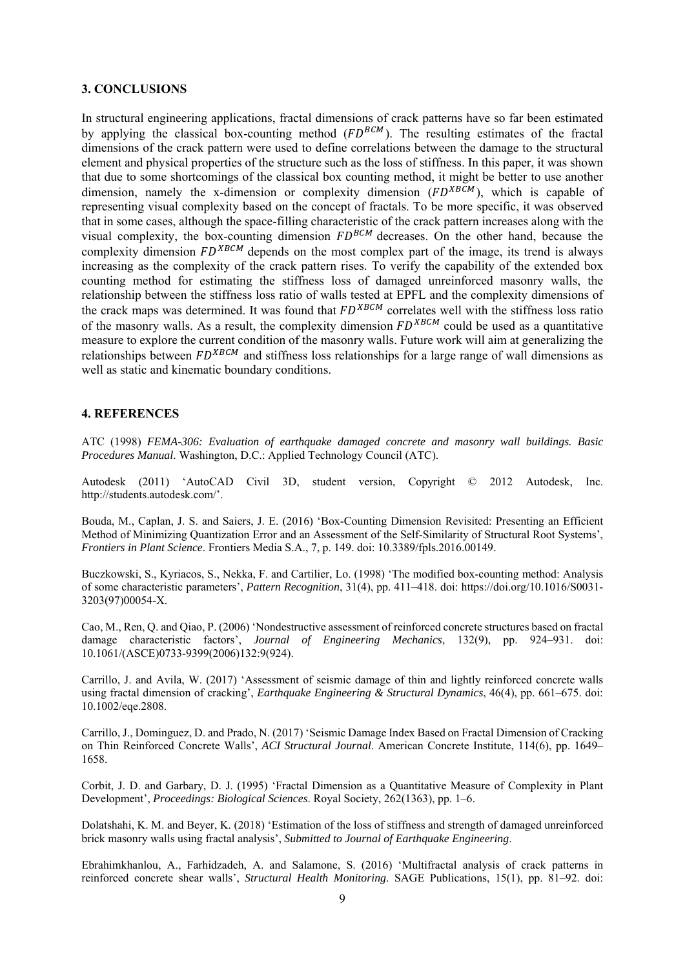#### **3. CONCLUSIONS**

In structural engineering applications, fractal dimensions of crack patterns have so far been estimated by applying the classical box-counting method  $(FD^{BCM})$ . The resulting estimates of the fractal dimensions of the crack pattern were used to define correlations between the damage to the structural element and physical properties of the structure such as the loss of stiffness. In this paper, it was shown that due to some shortcomings of the classical box counting method, it might be better to use another dimension, namely the x-dimension or complexity dimension  $(FD^{XB\tilde{C}M})$ , which is capable of representing visual complexity based on the concept of fractals. To be more specific, it was observed that in some cases, although the space-filling characteristic of the crack pattern increases along with the visual complexity, the box-counting dimension  $FD^{BCM}$  decreases. On the other hand, because the complexity dimension  $FD^{XBCM}$  depends on the most complex part of the image, its trend is always increasing as the complexity of the crack pattern rises. To verify the capability of the extended box counting method for estimating the stiffness loss of damaged unreinforced masonry walls, the relationship between the stiffness loss ratio of walls tested at EPFL and the complexity dimensions of the crack maps was determined. It was found that  $FD^{XBCM}$  correlates well with the stiffness loss ratio of the masonry walls. As a result, the complexity dimension  $FD^{XBCM}$  could be used as a quantitative measure to explore the current condition of the masonry walls. Future work will aim at generalizing the relationships between  $FD^{XBCM}$  and stiffness loss relationships for a large range of wall dimensions as well as static and kinematic boundary conditions.

## **4. REFERENCES**

ATC (1998) *FEMA-306: Evaluation of earthquake damaged concrete and masonry wall buildings. Basic Procedures Manual*. Washington, D.C.: Applied Technology Council (ATC).

Autodesk (2011) 'AutoCAD Civil 3D, student version, Copyright © 2012 Autodesk, Inc. http://students.autodesk.com/'.

Bouda, M., Caplan, J. S. and Saiers, J. E. (2016) 'Box-Counting Dimension Revisited: Presenting an Efficient Method of Minimizing Quantization Error and an Assessment of the Self-Similarity of Structural Root Systems', *Frontiers in Plant Science*. Frontiers Media S.A., 7, p. 149. doi: 10.3389/fpls.2016.00149.

Buczkowski, S., Kyriacos, S., Nekka, F. and Cartilier, Lo. (1998) 'The modified box-counting method: Analysis of some characteristic parameters', *Pattern Recognition*, 31(4), pp. 411–418. doi: https://doi.org/10.1016/S0031- 3203(97)00054-X.

Cao, M., Ren, Q. and Qiao, P. (2006) 'Nondestructive assessment of reinforced concrete structures based on fractal damage characteristic factors', *Journal of Engineering Mechanics*, 132(9), pp. 924–931. doi: 10.1061/(ASCE)0733-9399(2006)132:9(924).

Carrillo, J. and Avila, W. (2017) 'Assessment of seismic damage of thin and lightly reinforced concrete walls using fractal dimension of cracking', *Earthquake Engineering & Structural Dynamics*, 46(4), pp. 661–675. doi: 10.1002/eqe.2808.

Carrillo, J., Dominguez, D. and Prado, N. (2017) 'Seismic Damage Index Based on Fractal Dimension of Cracking on Thin Reinforced Concrete Walls', *ACI Structural Journal*. American Concrete Institute, 114(6), pp. 1649– 1658.

Corbit, J. D. and Garbary, D. J. (1995) 'Fractal Dimension as a Quantitative Measure of Complexity in Plant Development', *Proceedings: Biological Sciences*. Royal Society, 262(1363), pp. 1–6.

Dolatshahi, K. M. and Beyer, K. (2018) 'Estimation of the loss of stiffness and strength of damaged unreinforced brick masonry walls using fractal analysis', *Submitted to Journal of Earthquake Engineering*.

Ebrahimkhanlou, A., Farhidzadeh, A. and Salamone, S. (2016) 'Multifractal analysis of crack patterns in reinforced concrete shear walls', *Structural Health Monitoring*. SAGE Publications, 15(1), pp. 81–92. doi: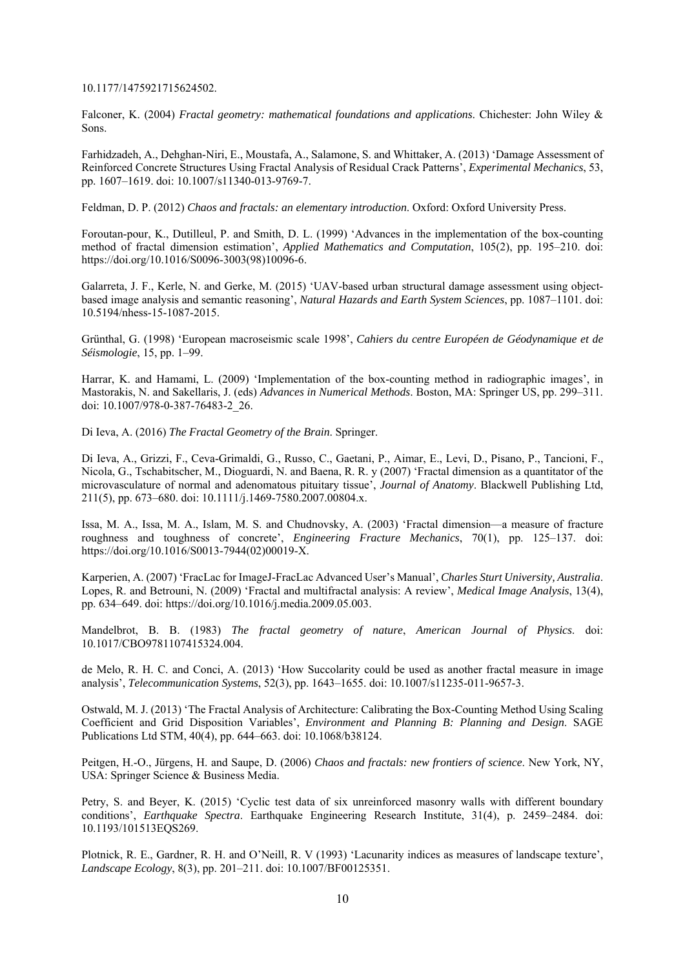10.1177/1475921715624502.

Falconer, K. (2004) *Fractal geometry: mathematical foundations and applications*. Chichester: John Wiley & Sons.

Farhidzadeh, A., Dehghan-Niri, E., Moustafa, A., Salamone, S. and Whittaker, A. (2013) 'Damage Assessment of Reinforced Concrete Structures Using Fractal Analysis of Residual Crack Patterns', *Experimental Mechanics*, 53, pp. 1607–1619. doi: 10.1007/s11340-013-9769-7.

Feldman, D. P. (2012) *Chaos and fractals: an elementary introduction*. Oxford: Oxford University Press.

Foroutan-pour, K., Dutilleul, P. and Smith, D. L. (1999) 'Advances in the implementation of the box-counting method of fractal dimension estimation', *Applied Mathematics and Computation*, 105(2), pp. 195–210. doi: https://doi.org/10.1016/S0096-3003(98)10096-6.

Galarreta, J. F., Kerle, N. and Gerke, M. (2015) 'UAV-based urban structural damage assessment using objectbased image analysis and semantic reasoning', *Natural Hazards and Earth System Sciences*, pp. 1087–1101. doi: 10.5194/nhess-15-1087-2015.

Grünthal, G. (1998) 'European macroseismic scale 1998', *Cahiers du centre Européen de Géodynamique et de Séismologie*, 15, pp. 1–99.

Harrar, K. and Hamami, L. (2009) 'Implementation of the box-counting method in radiographic images', in Mastorakis, N. and Sakellaris, J. (eds) *Advances in Numerical Methods*. Boston, MA: Springer US, pp. 299–311. doi: 10.1007/978-0-387-76483-2\_26.

Di Ieva, A. (2016) *The Fractal Geometry of the Brain*. Springer.

Di Ieva, A., Grizzi, F., Ceva-Grimaldi, G., Russo, C., Gaetani, P., Aimar, E., Levi, D., Pisano, P., Tancioni, F., Nicola, G., Tschabitscher, M., Dioguardi, N. and Baena, R. R. y (2007) 'Fractal dimension as a quantitator of the microvasculature of normal and adenomatous pituitary tissue', *Journal of Anatomy*. Blackwell Publishing Ltd, 211(5), pp. 673–680. doi: 10.1111/j.1469-7580.2007.00804.x.

Issa, M. A., Issa, M. A., Islam, M. S. and Chudnovsky, A. (2003) 'Fractal dimension––a measure of fracture roughness and toughness of concrete', *Engineering Fracture Mechanics*, 70(1), pp. 125–137. doi: https://doi.org/10.1016/S0013-7944(02)00019-X.

Karperien, A. (2007) 'FracLac for ImageJ-FracLac Advanced User's Manual', *Charles Sturt University, Australia*. Lopes, R. and Betrouni, N. (2009) 'Fractal and multifractal analysis: A review', *Medical Image Analysis*, 13(4), pp. 634–649. doi: https://doi.org/10.1016/j.media.2009.05.003.

Mandelbrot, B. B. (1983) *The fractal geometry of nature*, *American Journal of Physics*. doi: 10.1017/CBO9781107415324.004.

de Melo, R. H. C. and Conci, A. (2013) 'How Succolarity could be used as another fractal measure in image analysis', *Telecommunication Systems*, 52(3), pp. 1643–1655. doi: 10.1007/s11235-011-9657-3.

Ostwald, M. J. (2013) 'The Fractal Analysis of Architecture: Calibrating the Box-Counting Method Using Scaling Coefficient and Grid Disposition Variables', *Environment and Planning B: Planning and Design*. SAGE Publications Ltd STM, 40(4), pp. 644–663. doi: 10.1068/b38124.

Peitgen, H.-O., Jürgens, H. and Saupe, D. (2006) *Chaos and fractals: new frontiers of science*. New York, NY, USA: Springer Science & Business Media.

Petry, S. and Beyer, K. (2015) 'Cyclic test data of six unreinforced masonry walls with different boundary conditions', *Earthquake Spectra*. Earthquake Engineering Research Institute, 31(4), p. 2459–2484. doi: 10.1193/101513EQS269.

Plotnick, R. E., Gardner, R. H. and O'Neill, R. V (1993) 'Lacunarity indices as measures of landscape texture', *Landscape Ecology*, 8(3), pp. 201–211. doi: 10.1007/BF00125351.